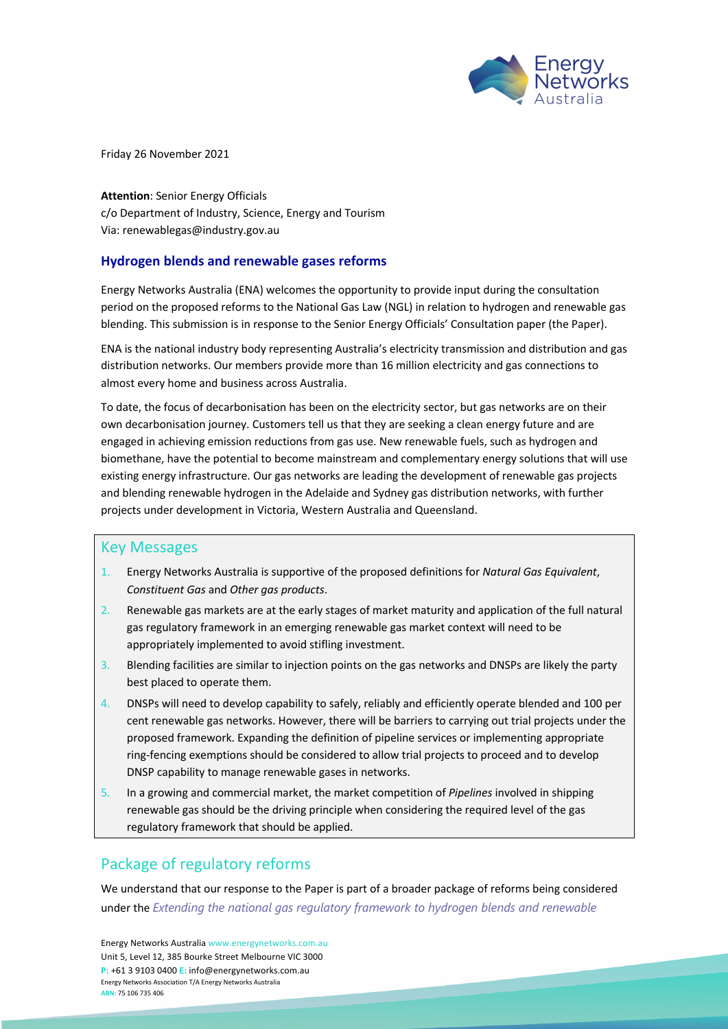

Friday 26 November 2021

**Attention**: Senior Energy Officials c/o Department of Industry, Science, Energy and Tourism Via: renewablegas@industry.gov.au

### **Hydrogen blends and renewable gases reforms**

Energy Networks Australia (ENA) welcomes the opportunity to provide input during the consultation period on the proposed reforms to the National Gas Law (NGL) in relation to hydrogen and renewable gas blending. This submission is in response to the Senior Energy Officials' Consultation paper (the Paper).

ENA is the national industry body representing Australia's electricity transmission and distribution and gas distribution networks. Our members provide more than 16 million electricity and gas connections to almost every home and business across Australia.

To date, the focus of decarbonisation has been on the electricity sector, but gas networks are on their own decarbonisation journey. Customers tell us that they are seeking a clean energy future and are engaged in achieving emission reductions from gas use. New renewable fuels, such as hydrogen and biomethane, have the potential to become mainstream and complementary energy solutions that will use existing energy infrastructure. Our gas networks are leading the development of renewable gas projects and blending renewable hydrogen in the Adelaide and Sydney gas distribution networks, with further projects under development in Victoria, Western Australia and Queensland.

### Key Messages

- 1. Energy Networks Australia is supportive of the proposed definitions for *Natural Gas Equivalent*, *Constituent Gas* and *Other gas products*.
- 2. Renewable gas markets are at the early stages of market maturity and application of the full natural gas regulatory framework in an emerging renewable gas market context will need to be appropriately implemented to avoid stifling investment.
- 3. Blending facilities are similar to injection points on the gas networks and DNSPs are likely the party best placed to operate them.
- 4. DNSPs will need to develop capability to safely, reliably and efficiently operate blended and 100 per cent renewable gas networks. However, there will be barriers to carrying out trial projects under the proposed framework. Expanding the definition of pipeline services or implementing appropriate ring-fencing exemptions should be considered to allow trial projects to proceed and to develop DNSP capability to manage renewable gases in networks.
- 5. In a growing and commercial market, the market competition of *Pipelines* involved in shipping renewable gas should be the driving principle when considering the required level of the gas regulatory framework that should be applied.

# Package of regulatory reforms

We understand that our response to the Paper is part of a broader package of reforms being considered under the *Extending the national gas regulatory framework to hydrogen blends and renewable* 

Energy Networks Australia www.energynetworks.com.au Unit 5, Level 12, 385 Bourke Street Melbourne VIC 3000 **P:** +61 3 9103 0400 **E:** info@energynetworks.com.au Energy Networks Association T/A Energy Networks Australia **ABN:** 75 106 735 406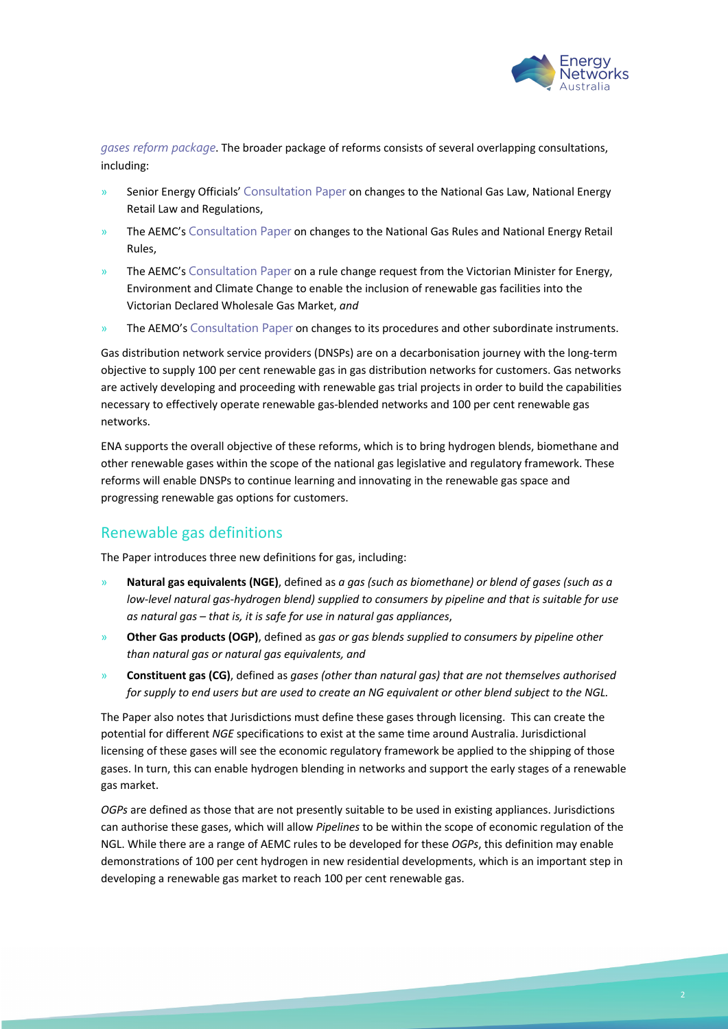

*gases reform package*. The broader package of reforms consists of several overlapping consultations, including:

- Senior Energy Officials' Consultation Paper on changes to the National Gas Law, National Energy Retail Law and Regulations,
- » The AEMC's Consultation Paper on changes to the National Gas Rules and National Energy Retail Rules,
- » The AEMC's Consultation Paper on a rule change request from the Victorian Minister for Energy, Environment and Climate Change to enable the inclusion of renewable gas facilities into the Victorian Declared Wholesale Gas Market, *and*
- The AEMO's Consultation Paper on changes to its procedures and other subordinate instruments.

Gas distribution network service providers (DNSPs) are on a decarbonisation journey with the long-term objective to supply 100 per cent renewable gas in gas distribution networks for customers. Gas networks are actively developing and proceeding with renewable gas trial projects in order to build the capabilities necessary to effectively operate renewable gas-blended networks and 100 per cent renewable gas networks.

ENA supports the overall objective of these reforms, which is to bring hydrogen blends, biomethane and other renewable gases within the scope of the national gas legislative and regulatory framework. These reforms will enable DNSPs to continue learning and innovating in the renewable gas space and progressing renewable gas options for customers.

### Renewable gas definitions

The Paper introduces three new definitions for gas, including:

- » **Natural gas equivalents (NGE)**, defined as *a gas (such as biomethane) or blend of gases (such as a low-level natural gas-hydrogen blend) supplied to consumers by pipeline and that is suitable for use as natural gas – that is, it is safe for use in natural gas appliances*,
- » **Other Gas products (OGP)**, defined as *gas or gas blends supplied to consumers by pipeline other than natural gas or natural gas equivalents, and*
- » **Constituent gas (CG)**, defined as *gases (other than natural gas) that are not themselves authorised for supply to end users but are used to create an NG equivalent or other blend subject to the NGL.*

The Paper also notes that Jurisdictions must define these gases through licensing. This can create the potential for different *NGE* specifications to exist at the same time around Australia. Jurisdictional licensing of these gases will see the economic regulatory framework be applied to the shipping of those gases. In turn, this can enable hydrogen blending in networks and support the early stages of a renewable gas market.

*OGPs* are defined as those that are not presently suitable to be used in existing appliances. Jurisdictions can authorise these gases, which will allow *Pipelines* to be within the scope of economic regulation of the NGL. While there are a range of AEMC rules to be developed for these *OGPs*, this definition may enable demonstrations of 100 per cent hydrogen in new residential developments, which is an important step in developing a renewable gas market to reach 100 per cent renewable gas.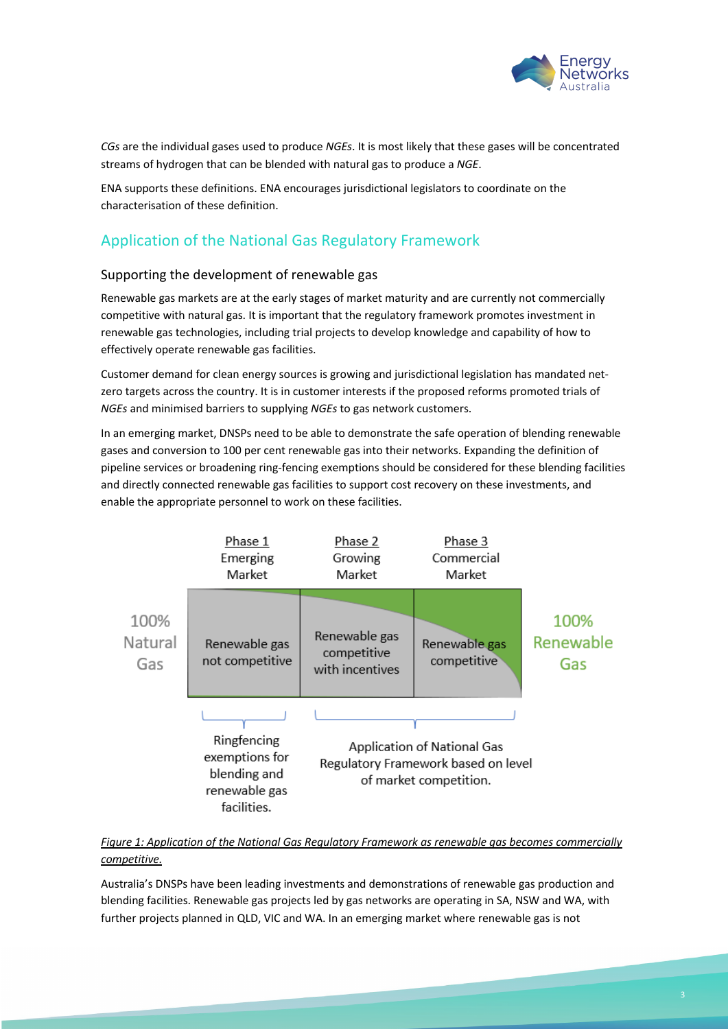

*CGs* are the individual gases used to produce *NGEs*. It is most likely that these gases will be concentrated streams of hydrogen that can be blended with natural gas to produce a *NGE*.

ENA supports these definitions. ENA encourages jurisdictional legislators to coordinate on the characterisation of these definition.

## Application of the National Gas Regulatory Framework

#### Supporting the development of renewable gas

Renewable gas markets are at the early stages of market maturity and are currently not commercially competitive with natural gas. It is important that the regulatory framework promotes investment in renewable gas technologies, including trial projects to develop knowledge and capability of how to effectively operate renewable gas facilities.

Customer demand for clean energy sources is growing and jurisdictional legislation has mandated netzero targets across the country. It is in customer interests if the proposed reforms promoted trials of *NGEs* and minimised barriers to supplying *NGEs* to gas network customers.

In an emerging market, DNSPs need to be able to demonstrate the safe operation of blending renewable gases and conversion to 100 per cent renewable gas into their networks. Expanding the definition of pipeline services or broadening ring-fencing exemptions should be considered for these blending facilities and directly connected renewable gas facilities to support cost recovery on these investments, and enable the appropriate personnel to work on these facilities.



*Figure 1: Application of the National Gas Regulatory Framework as renewable gas becomes commercially competitive.*

Australia's DNSPs have been leading investments and demonstrations of renewable gas production and blending facilities. Renewable gas projects led by gas networks are operating in SA, NSW and WA, with further projects planned in QLD, VIC and WA. In an emerging market where renewable gas is not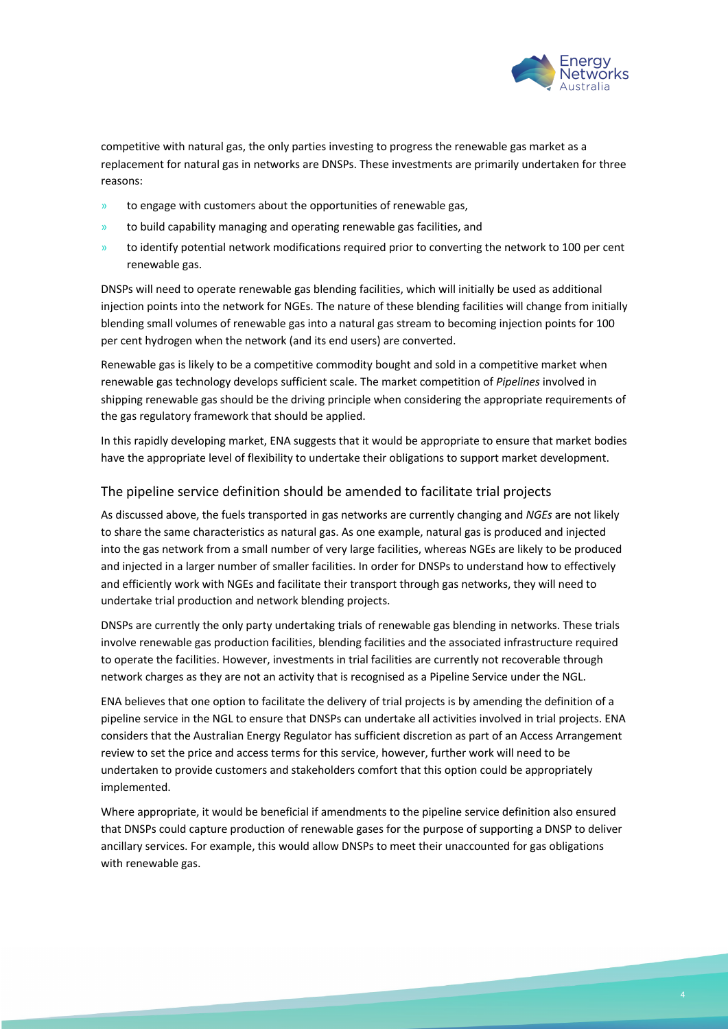

competitive with natural gas, the only parties investing to progress the renewable gas market as a replacement for natural gas in networks are DNSPs. These investments are primarily undertaken for three reasons:

- » to engage with customers about the opportunities of renewable gas,
- » to build capability managing and operating renewable gas facilities, and
- to identify potential network modifications required prior to converting the network to 100 per cent renewable gas.

DNSPs will need to operate renewable gas blending facilities, which will initially be used as additional injection points into the network for NGEs. The nature of these blending facilities will change from initially blending small volumes of renewable gas into a natural gas stream to becoming injection points for 100 per cent hydrogen when the network (and its end users) are converted.

Renewable gas is likely to be a competitive commodity bought and sold in a competitive market when renewable gas technology develops sufficient scale. The market competition of *Pipelines* involved in shipping renewable gas should be the driving principle when considering the appropriate requirements of the gas regulatory framework that should be applied.

In this rapidly developing market, ENA suggests that it would be appropriate to ensure that market bodies have the appropriate level of flexibility to undertake their obligations to support market development.

#### The pipeline service definition should be amended to facilitate trial projects

As discussed above, the fuels transported in gas networks are currently changing and *NGEs* are not likely to share the same characteristics as natural gas. As one example, natural gas is produced and injected into the gas network from a small number of very large facilities, whereas NGEs are likely to be produced and injected in a larger number of smaller facilities. In order for DNSPs to understand how to effectively and efficiently work with NGEs and facilitate their transport through gas networks, they will need to undertake trial production and network blending projects.

DNSPs are currently the only party undertaking trials of renewable gas blending in networks. These trials involve renewable gas production facilities, blending facilities and the associated infrastructure required to operate the facilities. However, investments in trial facilities are currently not recoverable through network charges as they are not an activity that is recognised as a Pipeline Service under the NGL.

ENA believes that one option to facilitate the delivery of trial projects is by amending the definition of a pipeline service in the NGL to ensure that DNSPs can undertake all activities involved in trial projects. ENA considers that the Australian Energy Regulator has sufficient discretion as part of an Access Arrangement review to set the price and access terms for this service, however, further work will need to be undertaken to provide customers and stakeholders comfort that this option could be appropriately implemented.

Where appropriate, it would be beneficial if amendments to the pipeline service definition also ensured that DNSPs could capture production of renewable gases for the purpose of supporting a DNSP to deliver ancillary services. For example, this would allow DNSPs to meet their unaccounted for gas obligations with renewable gas.